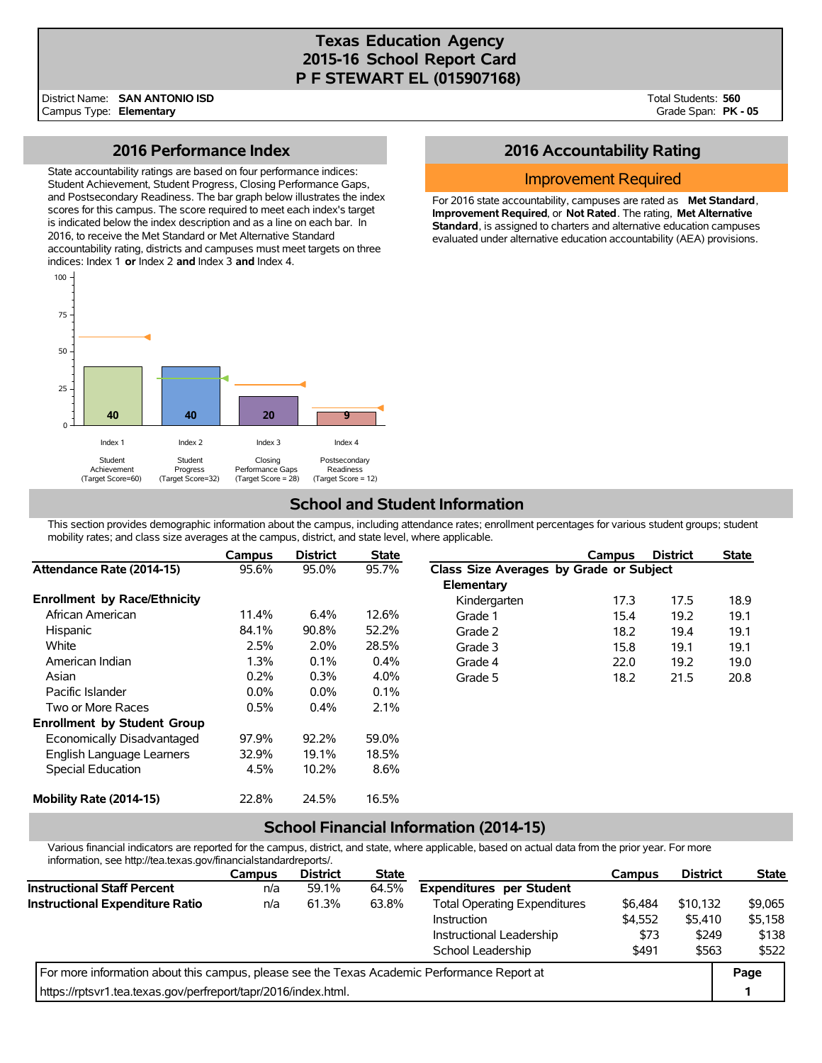# **Texas Education Agency 2015-16 School Report Card P F STEWART EL (015907168)**

District Name: Campus Type: **Elementary SAN ANTONIO ISD** Total Students: **560** Grade Span: **PK - 05**

### **2016 Performance Index**

State accountability ratings are based on four performance indices: Student Achievement, Student Progress, Closing Performance Gaps, and Postsecondary Readiness. The bar graph below illustrates the index scores for this campus. The score required to meet each index's target is indicated below the index description and as a line on each bar. In 2016, to receive the Met Standard or Met Alternative Standard accountability rating, districts and campuses must meet targets on three indices: Index 1 **or** Index 2 **and** Index 3 **and** Index 4.



## **2016 Accountability Rating**

### Improvement Required

For 2016 state accountability, campuses are rated as **Met Standard**, **Improvement Required**, or **Not Rated**. The rating, **Met Alternative Standard**, is assigned to charters and alternative education campuses evaluated under alternative education accountability (AEA) provisions.

# **School and Student Information**

This section provides demographic information about the campus, including attendance rates; enrollment percentages for various student groups; student mobility rates; and class size averages at the campus, district, and state level, where applicable.

|                                     | Campus  | <b>District</b> | <b>State</b> |                                         | Campus | <b>District</b> | <b>State</b> |
|-------------------------------------|---------|-----------------|--------------|-----------------------------------------|--------|-----------------|--------------|
| Attendance Rate (2014-15)           | 95.6%   | 95.0%           | 95.7%        | Class Size Averages by Grade or Subject |        |                 |              |
|                                     |         |                 |              | Elementary                              |        |                 |              |
| <b>Enrollment by Race/Ethnicity</b> |         |                 |              | Kindergarten                            | 17.3   | 17.5            | 18.9         |
| African American                    | 11.4%   | 6.4%            | 12.6%        | Grade 1                                 | 15.4   | 19.2            | 19.1         |
| <b>Hispanic</b>                     | 84.1%   | 90.8%           | 52.2%        | Grade 2                                 | 18.2   | 19.4            | 19.1         |
| White                               | 2.5%    | 2.0%            | 28.5%        | Grade 3                                 | 15.8   | 19.1            | 19.1         |
| American Indian                     | 1.3%    | 0.1%            | 0.4%         | Grade 4                                 | 22.0   | 19.2            | 19.0         |
| Asian                               | 0.2%    | 0.3%            | 4.0%         | Grade 5                                 | 18.2   | 21.5            | 20.8         |
| Pacific Islander                    | $0.0\%$ | $0.0\%$         | 0.1%         |                                         |        |                 |              |
| Two or More Races                   | 0.5%    | 0.4%            | 2.1%         |                                         |        |                 |              |
| <b>Enrollment by Student Group</b>  |         |                 |              |                                         |        |                 |              |
| Economically Disadvantaged          | 97.9%   | 92.2%           | 59.0%        |                                         |        |                 |              |
| English Language Learners           | 32.9%   | 19.1%           | 18.5%        |                                         |        |                 |              |
| Special Education                   | 4.5%    | 10.2%           | 8.6%         |                                         |        |                 |              |
| Mobility Rate (2014-15)             | 22.8%   | 24.5%           | 16.5%        |                                         |        |                 |              |

### **School Financial Information (2014-15)**

Various financial indicators are reported for the campus, district, and state, where applicable, based on actual data from the prior year. For more information, see http://tea.texas.gov/financialstandardreports/.

|                                                                                             | <b>Campus</b> | <b>District</b> | <b>State</b> |                                     | Campus  | <b>District</b> | <b>State</b> |
|---------------------------------------------------------------------------------------------|---------------|-----------------|--------------|-------------------------------------|---------|-----------------|--------------|
| <b>Instructional Staff Percent</b>                                                          | n/a           | 59.1%           | 64.5%        | <b>Expenditures per Student</b>     |         |                 |              |
| <b>Instructional Expenditure Ratio</b>                                                      | n/a           | 61.3%           | 63.8%        | <b>Total Operating Expenditures</b> | \$6,484 | \$10.132        | \$9,065      |
|                                                                                             |               |                 |              | Instruction                         | \$4.552 | \$5.410         | \$5,158      |
|                                                                                             |               |                 |              | Instructional Leadership            | \$73    | \$249           | \$138        |
|                                                                                             |               |                 |              | School Leadership                   | \$491   | \$563           | \$522        |
| For more information about this campus, please see the Texas Academic Performance Report at |               |                 |              |                                     |         |                 | Page         |
| https://rptsvr1.tea.texas.gov/perfreport/tapr/2016/index.html.                              |               |                 |              |                                     |         |                 |              |